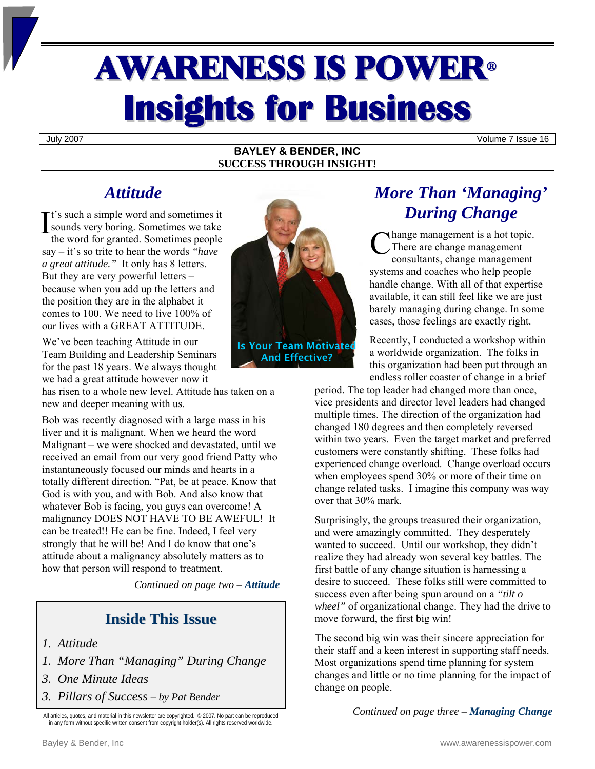# AWARENESS IS POWER<sup>ü</sup> **Insights for Business**

July 2007 Volume 7 Issue 16

#### **BAYLEY & BENDER, INC SUCCESS THROUGH INSIGHT!**

## *Attitude*

t's such a simple word and sometimes it sounds very boring. Sometimes we take the word for granted. Sometimes people say – it's so trite to hear the words *"have a great attitude."* It only has 8 letters. But they are very powerful letters – because when you add up the letters and the position they are in the alphabet it comes to 100. We need to live 100% of our lives with a GREAT ATTITUDE. It's such a simple word and sometimes it<br>
sounds very boring. Sometimes we take<br>
the word for granted. Sometimes people<br>
say – it's so trite to hear the words "have

We've been teaching Attitude in our Team Building and Leadership Seminars for the past 18 years. We always thought we had a great attitude however now it

has risen to a whole new level. Attitude has taken on a new and deeper meaning with us.

Bob was recently diagnosed with a large mass in his liver and it is malignant. When we heard the word Malignant – we were shocked and devastated, until we received an email from our very good friend Patty who instantaneously focused our minds and hearts in a totally different direction. "Pat, be at peace. Know that God is with you, and with Bob. And also know that whatever Bob is facing, you guys can overcome! A malignancy DOES NOT HAVE TO BE AWEFUL! It can be treated!! He can be fine. Indeed, I feel very strongly that he will be! And I do know that one's attitude about a malignancy absolutely matters as to how that person will respond to treatment.

*Continued on page two – Attitude*

## **Inside This Issue**

- *1. Attitude*
- *1. More Than "Managing" During Change*
- *3. One Minute Ideas*
- *3. Pillars of Success by Pat Bender*

All articles, quotes, and material in this newsletter are copyrighted. © 2007. No part can be reproduced in any form without specific written consent from copyright holder(s). All rights reserved worldwide.



And Effective?

# *More Than 'Managing' During Change*

hange management is a hot topic. There are change management consultants, change management systems and coaches who help people handle change. With all of that expertise available, it can still feel like we are just barely managing during change. In some cases, those feelings are exactly right.

Recently, I conducted a workshop within a worldwide organization. The folks in this organization had been put through an endless roller coaster of change in a brief

period. The top leader had changed more than once, vice presidents and director level leaders had changed multiple times. The direction of the organization had changed 180 degrees and then completely reversed within two years. Even the target market and preferred customers were constantly shifting. These folks had experienced change overload. Change overload occurs when employees spend 30% or more of their time on change related tasks. I imagine this company was way over that 30% mark.

Surprisingly, the groups treasured their organization, and were amazingly committed. They desperately wanted to succeed. Until our workshop, they didn't realize they had already won several key battles. The first battle of any change situation is harnessing a desire to succeed. These folks still were committed to success even after being spun around on a *"tilt o wheel"* of organizational change. They had the drive to move forward, the first big win!

The second big win was their sincere appreciation for their staff and a keen interest in supporting staff needs. Most organizations spend time planning for system changes and little or no time planning for the impact of change on people.

*Continued on page three – Managing Change*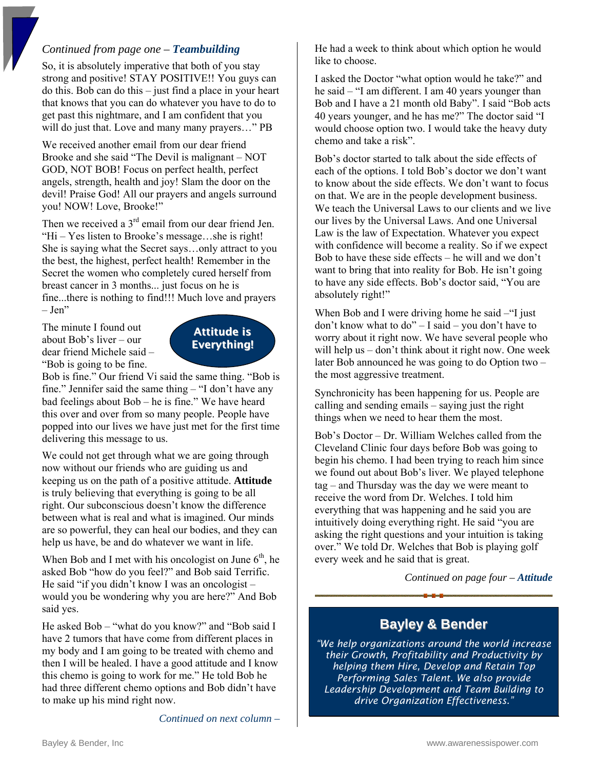## *Continued from page one – Teambuilding*

So, it is absolutely imperative that both of you stay strong and positive! STAY POSITIVE!! You guys can do this. Bob can do this – just find a place in your heart that knows that you can do whatever you have to do to get past this nightmare, and I am confident that you will do just that. Love and many many prayers..." PB

We received another email from our dear friend Brooke and she said "The Devil is malignant – NOT GOD, NOT BOB! Focus on perfect health, perfect angels, strength, health and joy! Slam the door on the devil! Praise God! All our prayers and angels surround you! NOW! Love, Brooke!"

Then we received a  $3<sup>rd</sup>$  email from our dear friend Jen. "Hi – Yes listen to Brooke's message…she is right! She is saying what the Secret says…only attract to you the best, the highest, perfect health! Remember in the Secret the women who completely cured herself from breast cancer in 3 months... just focus on he is fine...there is nothing to find!!! Much love and prayers – Jen"

The minute I found out about Bob's liver – our dear friend Michele said – "Bob is going to be fine.



Bob is fine." Our friend Vi said the same thing. "Bob is fine." Jennifer said the same thing – "I don't have any bad feelings about Bob – he is fine." We have heard this over and over from so many people. People have popped into our lives we have just met for the first time delivering this message to us.

We could not get through what we are going through now without our friends who are guiding us and keeping us on the path of a positive attitude. **Attitude** is truly believing that everything is going to be all right. Our subconscious doesn't know the difference between what is real and what is imagined. Our minds are so powerful, they can heal our bodies, and they can help us have, be and do whatever we want in life.

When Bob and I met with his oncologist on June  $6<sup>th</sup>$ , he asked Bob "how do you feel?" and Bob said Terrific. He said "if you didn't know I was an oncologist – would you be wondering why you are here?" And Bob said yes.

He asked Bob – "what do you know?" and "Bob said I have 2 tumors that have come from different places in my body and I am going to be treated with chemo and then I will be healed. I have a good attitude and I know this chemo is going to work for me." He told Bob he had three different chemo options and Bob didn't have to make up his mind right now.

*Continued on next column –* 

He had a week to think about which option he would like to choose.

I asked the Doctor "what option would he take?" and he said – "I am different. I am 40 years younger than Bob and I have a 21 month old Baby". I said "Bob acts 40 years younger, and he has me?" The doctor said "I would choose option two. I would take the heavy duty chemo and take a risk".

Bob's doctor started to talk about the side effects of each of the options. I told Bob's doctor we don't want to know about the side effects. We don't want to focus on that. We are in the people development business. We teach the Universal Laws to our clients and we live our lives by the Universal Laws. And one Universal Law is the law of Expectation. Whatever you expect with confidence will become a reality. So if we expect Bob to have these side effects – he will and we don't want to bring that into reality for Bob. He isn't going to have any side effects. Bob's doctor said, "You are absolutely right!"

When Bob and I were driving home he said – "I just don't know what to do" – I said – you don't have to worry about it right now. We have several people who will help us – don't think about it right now. One week later Bob announced he was going to do Option two – the most aggressive treatment.

Synchronicity has been happening for us. People are calling and sending emails – saying just the right things when we need to hear them the most.

Bob's Doctor – Dr. William Welches called from the Cleveland Clinic four days before Bob was going to begin his chemo. I had been trying to reach him since we found out about Bob's liver. We played telephone tag – and Thursday was the day we were meant to receive the word from Dr. Welches. I told him everything that was happening and he said you are intuitively doing everything right. He said "you are asking the right questions and your intuition is taking over." We told Dr. Welches that Bob is playing golf every week and he said that is great.

*Continued on page four – Attitude* 

## **Bayley & Bender**

*"We help organizations around the world increase their Growth, Profitability and Productivity by helping them Hire, Develop and Retain Top Performing Sales Talent. We also provide Leadership Development and Team Building to drive Organization Effectiveness."*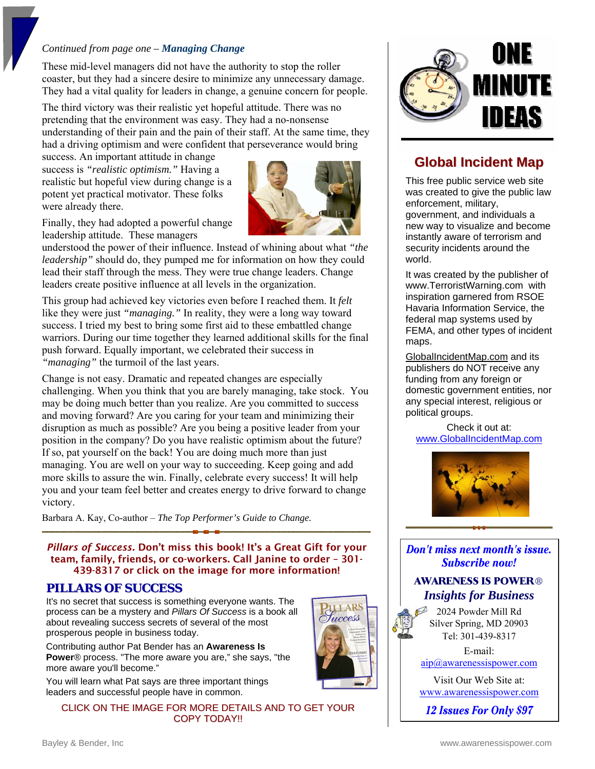#### *Continued from page one – Managing Change*

These mid-level managers did not have the authority to stop the roller coaster, but they had a sincere desire to minimize any unnecessary damage. They had a vital quality for leaders in change, a genuine concern for people.

The third victory was their realistic yet hopeful attitude. There was no pretending that the environment was easy. They had a no-nonsense understanding of their pain and the pain of their staff. At the same time, they had a driving optimism and were confident that perseverance would bring

success. An important attitude in change success is *"realistic optimism."* Having a realistic but hopeful view during change is a potent yet practical motivator. These folks were already there.



**ILLARS** Tuccess

Finally, they had adopted a powerful change leadership attitude. These managers

understood the power of their influence. Instead of whining about what *"the leadership"* should do, they pumped me for information on how they could lead their staff through the mess. They were true change leaders. Change leaders create positive influence at all levels in the organization.

This group had achieved key victories even before I reached them. It *felt*  like they were just *"managing."* In reality, they were a long way toward success. I tried my best to bring some first aid to these embattled change warriors. During our time together they learned additional skills for the final push forward. Equally important, we celebrated their success in *"managing"* the turmoil of the last years.

Change is not easy. Dramatic and repeated changes are especially challenging. When you think that you are barely managing, take stock. You may be doing much better than you realize. Are you committed to success and moving forward? Are you caring for your team and minimizing their disruption as much as possible? Are you being a positive leader from your position in the company? Do you have realistic optimism about the future? If so, pat yourself on the back! You are doing much more than just managing. You are well on your way to succeeding. Keep going and add more skills to assure the win. Finally, celebrate every success! It will help you and your team feel better and creates energy to drive forward to change victory.

Barbara A. Kay, Co-author – *The Top Performer's Guide to Change.*

*Pillars of Success.* Don't miss this book! It's a Great Gift for your team, family, friends, or co-workers. Call Janine to order – 301- 439-8317 or click on the image for more information!

### **PILLARS OF SUCCESS**

It's no secret that success is something everyone wants. The process can be a mystery and *Pillars Of Success* is a book all about revealing success secrets of several of the most prosperous people in business today.

Contributing author Pat Bender has an **Awareness Is Power**® process. "The more aware you are," she says, "the more aware you'll become."

You will learn what Pat says are three important things leaders and successful people have in common.

CLICK ON THE IMAGE FOR MORE DETAILS AND TO GET YOUR COPY TODAY!!



## **Global Incident Map**

This free public service web site was created to give the public law enforcement, military, government, and individuals a new way to visualize and become instantly aware of terrorism and security incidents around the world.

It was created by the publisher of www.TerroristWarning.com with inspiration garnered from RSOE Havaria Information Service, the federal map systems used by FEMA, and other types of incident maps.

GlobalIncidentMap.com and its publishers do NOT receive any funding from any foreign or domestic government entities, nor any special interest, religious or political groups.

Check it out at: <www.GlobalIncidentMap.com>



Don't miss next month's issue. **Subscribe now!** 

## **AWARENESS IS POWER®** *Insights for Business*

2024 Powder Mill Rd Silver Spring, MD 20903 Tel: 301-439-8317

E-mail: [aip@awarenessispower.com](mailto: aip@awarenessispower.com) 

Visit Our Web Site at: <www.awarenessispower.com>

12 Issues For Only \$97